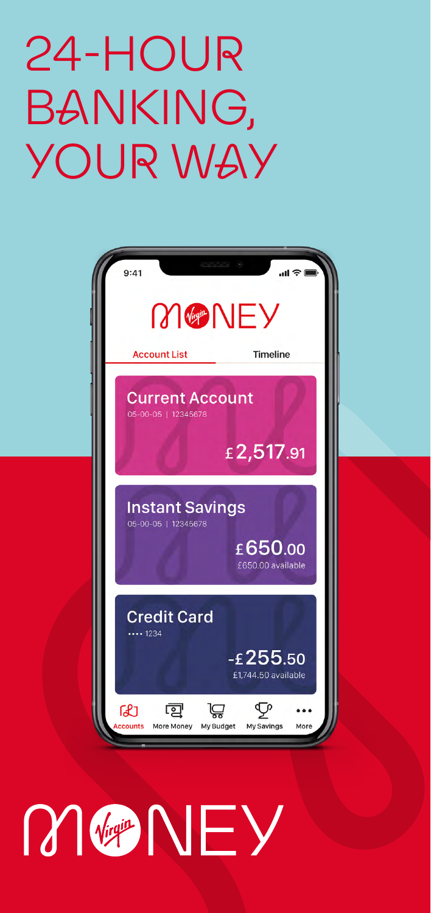# 24-HOUR BANKING, YOUR WAY



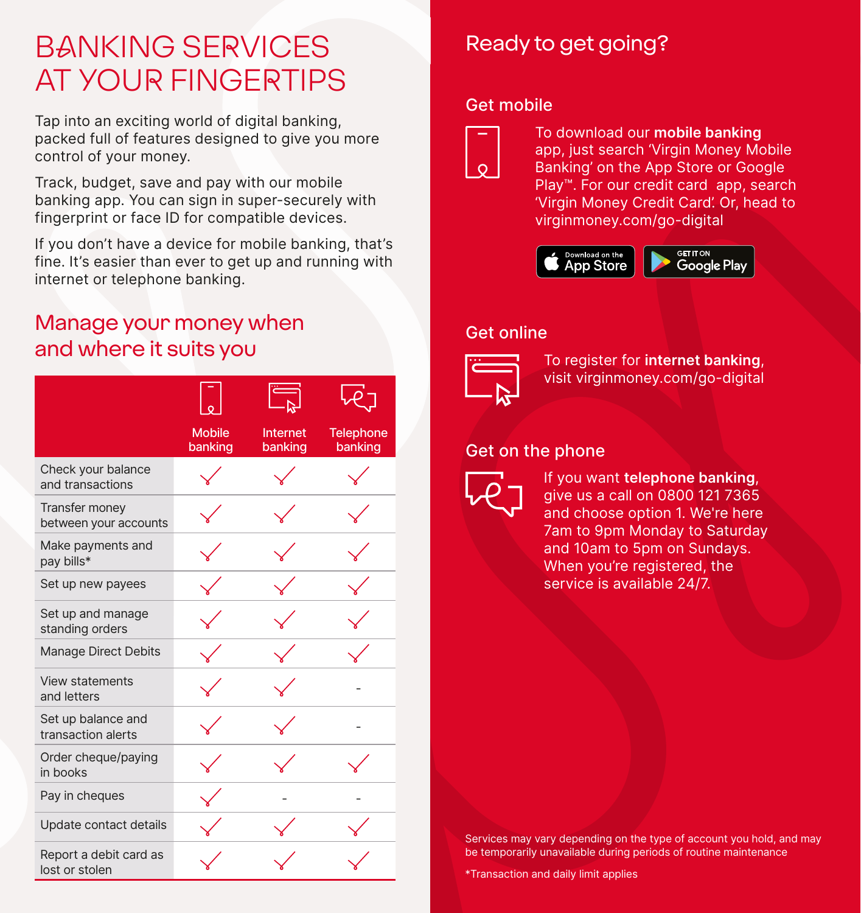# BANKING SERVICES AT YOUR FINGERTIPS

Tap into an exciting world of digital banking, packed full of features designed to give you more control of your money.

Track, budget, save and pay with our mobile banking app. You can sign in super-securely with fingerprint or face ID for compatible devices.

If you don't have a device for mobile banking, that's fine. It's easier than ever to get up and running with internet or telephone banking.

# Manage your money when and where it suits you

|                                          |                          | E,                  |                             |
|------------------------------------------|--------------------------|---------------------|-----------------------------|
|                                          | <b>Mobile</b><br>banking | Internet<br>banking | <b>Telephone</b><br>banking |
| Check your balance<br>and transactions   |                          |                     |                             |
| Transfer money<br>between your accounts  |                          |                     |                             |
| Make payments and<br>pay bills*          |                          |                     |                             |
| Set up new payees                        |                          |                     |                             |
| Set up and manage<br>standing orders     |                          |                     |                             |
| <b>Manage Direct Debits</b>              |                          |                     |                             |
| <b>View statements</b><br>and letters    |                          |                     |                             |
| Set up balance and<br>transaction alerts |                          |                     |                             |
| Order cheque/paying<br>in books          |                          |                     |                             |
| Pay in cheques                           |                          |                     |                             |
| Update contact details                   |                          |                     |                             |
| Report a debit card as<br>lost or stolen |                          |                     |                             |

# Ready to get going?

### Get mobile



To download our **mobile banking** app, just search 'Virgin Money Mobile Banking' on the App Store or Google Play™. For our credit card app, search 'Virgin Money Credit Card'. Or, head to [virginmoney.com/go-digital](https://uk.virginmoney.com/service/digital-registration/)



# Get online



To register for **internet banking**, visit [virginmoney.com/go-digital](https://uk.virginmoney.com/service/digital-registration/)

# Get on the phone



If you want **telephone banking**, give us a call on 0800 121 7365 and choose option 1. We're here 7am to 9pm Monday to Saturday and 10am to 5pm on Sundays. When you're registered, the service is available 24/7.

Services may vary depending on the type of account you hold, and may be temporarily unavailable during periods of routine maintenance

\*Transaction and daily limit applies